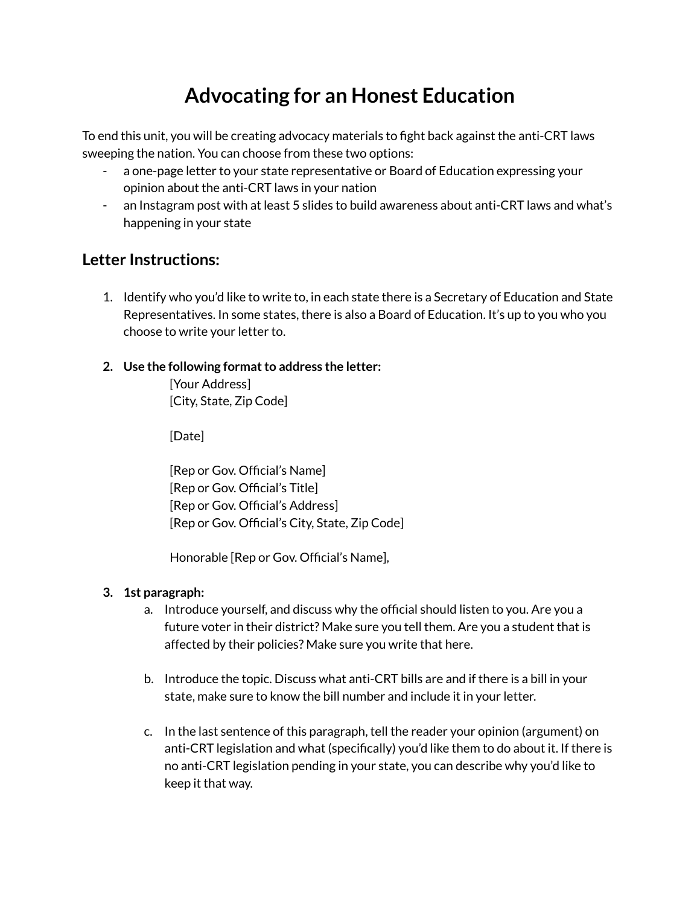## **Advocating for an Honest Education**

To end this unit, you will be creating advocacy materials to fight back against the anti-CRT laws sweeping the nation. You can choose from these two options:

- a one-page letter to your state representative or Board of Education expressing your opinion about the anti-CRT laws in your nation
- an Instagram post with at least 5 slides to build awareness about anti-CRT laws and what's happening in your state

### **Letter Instructions:**

- 1. Identify who you'd like to write to, in each state there is a Secretary of Education and State Representatives. In some states, there is also a Board of Education. It's up to you who you choose to write your letter to.
- **2. Use the following formatto address the letter:**

[Your Address] [City, State, Zip Code]

[Date]

[Rep or Gov. Official's Name] [Rep or Gov. Official's Title] [Rep or Gov. Official's Address] [Rep or Gov. Official's City, State, Zip Code]

Honorable [Rep or Gov. Official's Name],

#### **3. 1st paragraph:**

- a. Introduce yourself, and discuss why the official should listen to you. Are you a future voter in their district? Make sure you tell them. Are you a student that is affected by their policies? Make sure you write that here.
- b. Introduce the topic. Discuss what anti-CRT bills are and if there is a bill in your state, make sure to know the bill number and include it in your letter.
- c. In the last sentence of this paragraph, tell the reader your opinion (argument) on anti-CRT legislation and what (specifically) you'd like them to do about it. If there is no anti-CRT legislation pending in your state, you can describe why you'd like to keep it that way.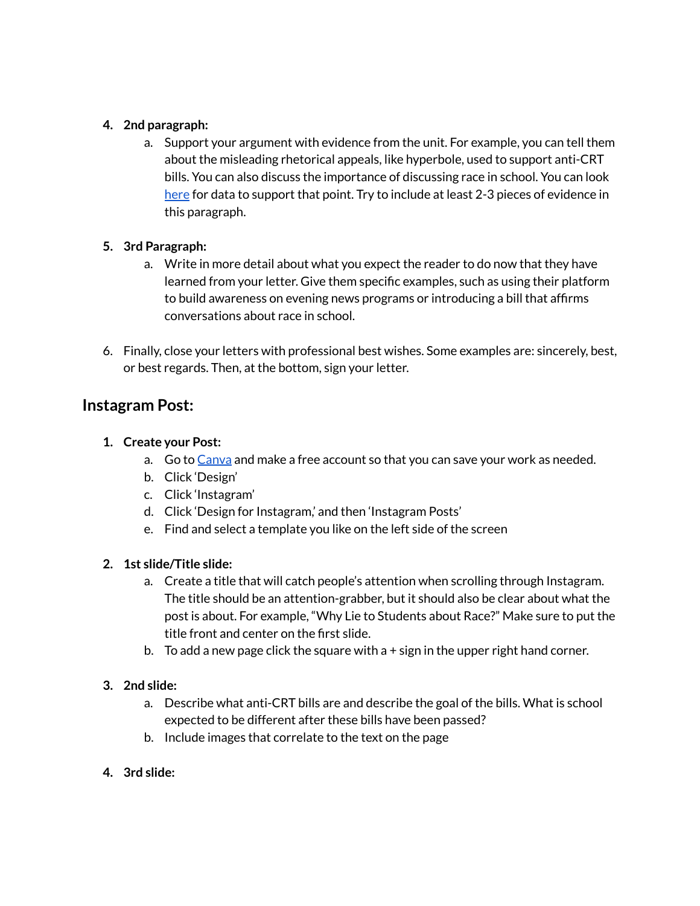#### **4. 2nd paragraph:**

a. Support your argument with evidence from the unit. For example, you can tell them about the misleading rhetorical appeals, like hyperbole, used to support anti-CRT bills. You can also discuss the importance of discussing race in school. You can look [here](https://rossieronline.usc.edu/youth-and-racism/racism-in-the-classroom) for data to support that point. Try to include at least 2-3 pieces of evidence in this paragraph.

#### **5. 3rd Paragraph:**

- a. Write in more detail about what you expect the reader to do now that they have learned from your letter. Give them specific examples, such as using their platform to build awareness on evening news programs or introducing a bill that affirms conversations about race in school.
- 6. Finally, close your letters with professional best wishes. Some examples are: sincerely, best, or best regards. Then, at the bottom, sign your letter.

### **Instagram Post:**

#### **1. Create your Post:**

- a. Go to Canya and make a free account so that you can save your work as needed.
- b. Click 'Design'
- c. Click 'Instagram'
- d. Click 'Design for Instagram,' and then 'Instagram Posts'
- e. Find and select a template you like on the left side of the screen

#### **2. 1st slide/Title slide:**

- a. Create a title that will catch people's attention when scrolling through Instagram. The title should be an attention-grabber, but it should also be clear about what the post is about. For example, "Why Lie to Students about Race?" Make sure to put the title front and center on the first slide.
- b. To add a new page click the square with a + sign in the upper right hand corner.

#### **3. 2nd slide:**

- a. Describe what anti-CRT bills are and describe the goal of the bills. What is school expected to be different after these bills have been passed?
- b. Include images that correlate to the text on the page

#### **4. 3rd slide:**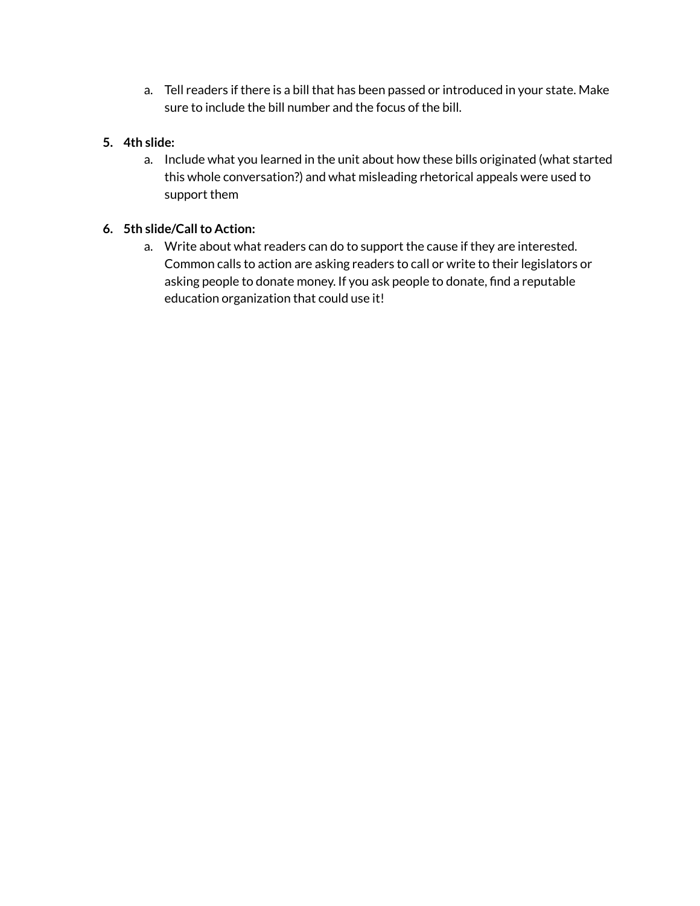a. Tell readers if there is a bill that has been passed or introduced in your state. Make sure to include the bill number and the focus of the bill.

#### **5. 4th slide:**

a. Include what you learned in the unit about how these bills originated (what started this whole conversation?) and what misleading rhetorical appeals were used to support them

#### **6. 5th slide/Callto Action:**

a. Write about what readers can do to support the cause if they are interested. Common calls to action are asking readers to call or write to their legislators or asking people to donate money. If you ask people to donate, find a reputable education organization that could use it!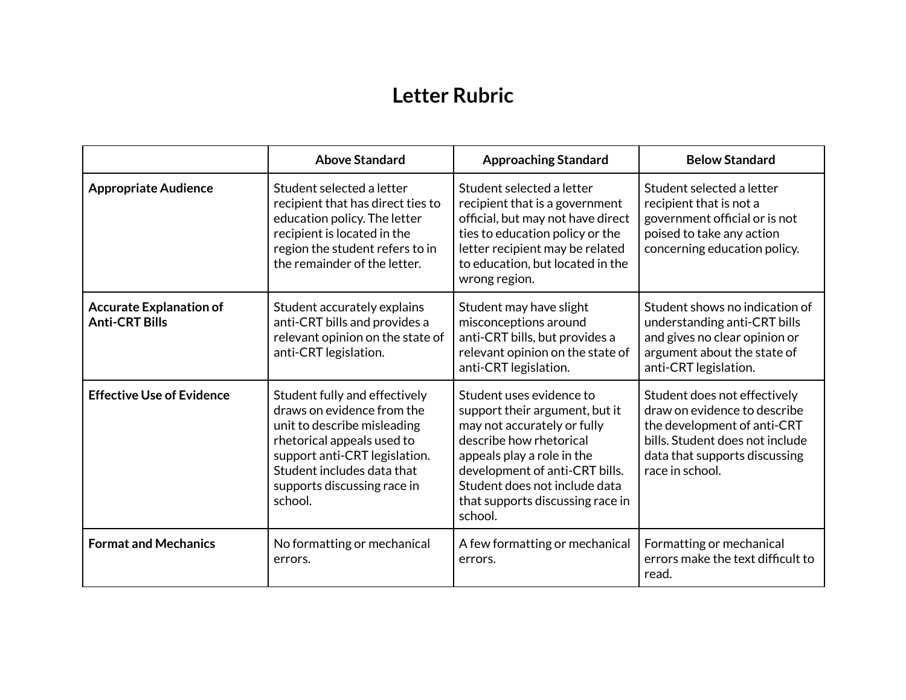## **Letter Rubric**

|                                                         | <b>Above Standard</b>                                                                                                                                                                                                             | <b>Approaching Standard</b>                                                                                                                                                                                                                                          | <b>Below Standard</b>                                                                                                                                                              |
|---------------------------------------------------------|-----------------------------------------------------------------------------------------------------------------------------------------------------------------------------------------------------------------------------------|----------------------------------------------------------------------------------------------------------------------------------------------------------------------------------------------------------------------------------------------------------------------|------------------------------------------------------------------------------------------------------------------------------------------------------------------------------------|
| <b>Appropriate Audience</b>                             | Student selected a letter<br>recipient that has direct ties to<br>education policy. The letter<br>recipient is located in the<br>region the student refers to in<br>the remainder of the letter.                                  | Student selected a letter<br>recipient that is a government<br>official, but may not have direct<br>ties to education policy or the<br>letter recipient may be related<br>to education, but located in the<br>wrong region.                                          | Student selected a letter<br>recipient that is not a<br>government official or is not<br>poised to take any action<br>concerning education policy.                                 |
| <b>Accurate Explanation of</b><br><b>Anti-CRT Bills</b> | Student accurately explains<br>anti-CRT bills and provides a<br>relevant opinion on the state of<br>anti-CRT legislation.                                                                                                         | Student may have slight<br>misconceptions around<br>anti-CRT bills, but provides a<br>relevant opinion on the state of<br>anti-CRT legislation.                                                                                                                      | Student shows no indication of<br>understanding anti-CRT bills<br>and gives no clear opinion or<br>argument about the state of<br>anti-CRT legislation.                            |
| <b>Effective Use of Evidence</b>                        | Student fully and effectively<br>draws on evidence from the<br>unit to describe misleading<br>rhetorical appeals used to<br>support anti-CRT legislation.<br>Student includes data that<br>supports discussing race in<br>school. | Student uses evidence to<br>support their argument, but it<br>may not accurately or fully<br>describe how rhetorical<br>appeals play a role in the<br>development of anti-CRT bills.<br>Student does not include data<br>that supports discussing race in<br>school. | Student does not effectively<br>draw on evidence to describe<br>the development of anti-CRT<br>bills. Student does not include<br>data that supports discussing<br>race in school. |
| <b>Format and Mechanics</b>                             | No formatting or mechanical<br>errors.                                                                                                                                                                                            | A few formatting or mechanical<br>errors.                                                                                                                                                                                                                            | Formatting or mechanical<br>errors make the text difficult to<br>read.                                                                                                             |